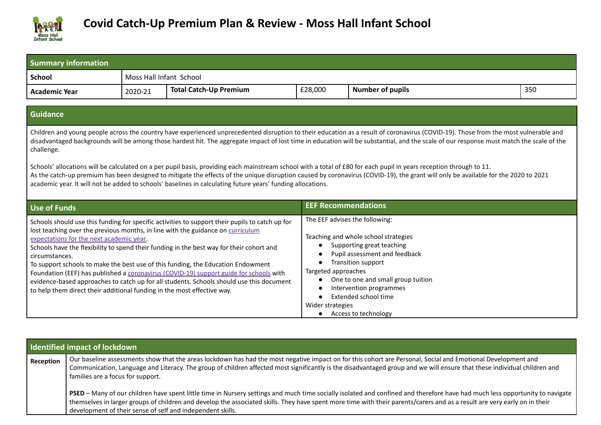

| <b>Summary information</b>                                                                                                            |                         |                                                                                                                                                                                                                                                                                                                                                                                                                                                                                                                                                                                                                                                                                                                                                                                                                                                             |                                         |                                                                                                                                                                                                                                                                             |     |
|---------------------------------------------------------------------------------------------------------------------------------------|-------------------------|-------------------------------------------------------------------------------------------------------------------------------------------------------------------------------------------------------------------------------------------------------------------------------------------------------------------------------------------------------------------------------------------------------------------------------------------------------------------------------------------------------------------------------------------------------------------------------------------------------------------------------------------------------------------------------------------------------------------------------------------------------------------------------------------------------------------------------------------------------------|-----------------------------------------|-----------------------------------------------------------------------------------------------------------------------------------------------------------------------------------------------------------------------------------------------------------------------------|-----|
| <b>School</b>                                                                                                                         | Moss Hall Infant School |                                                                                                                                                                                                                                                                                                                                                                                                                                                                                                                                                                                                                                                                                                                                                                                                                                                             |                                         |                                                                                                                                                                                                                                                                             |     |
| <b>Academic Year</b>                                                                                                                  | 2020-21                 | <b>Total Catch-Up Premium</b>                                                                                                                                                                                                                                                                                                                                                                                                                                                                                                                                                                                                                                                                                                                                                                                                                               | £28,000                                 | <b>Number of pupils</b>                                                                                                                                                                                                                                                     | 350 |
| <b>Guidance</b>                                                                                                                       |                         |                                                                                                                                                                                                                                                                                                                                                                                                                                                                                                                                                                                                                                                                                                                                                                                                                                                             |                                         |                                                                                                                                                                                                                                                                             |     |
| challenge.                                                                                                                            |                         | Children and young people across the country have experienced unprecedented disruption to their education as a result of coronavirus (COVID-19). Those from the most vulnerable and<br>disadvantaged backgrounds will be among those hardest hit. The aggregate impact of lost time in education will be substantial, and the scale of our response must match the scale of the<br>Schools' allocations will be calculated on a per pupil basis, providing each mainstream school with a total of £80 for each pupil in years reception through to 11.<br>As the catch-up premium has been designed to mitigate the effects of the unique disruption caused by coronavirus (COVID-19), the grant will only be available for the 2020 to 2021<br>academic year. It will not be added to schools' baselines in calculating future years' funding allocations. |                                         |                                                                                                                                                                                                                                                                             |     |
| <b>Use of Funds</b>                                                                                                                   |                         |                                                                                                                                                                                                                                                                                                                                                                                                                                                                                                                                                                                                                                                                                                                                                                                                                                                             |                                         | <b>EEF Recommendations</b>                                                                                                                                                                                                                                                  |     |
| expectations for the next academic year.<br>circumstances.<br>to help them direct their additional funding in the most effective way. |                         | Schools should use this funding for specific activities to support their pupils to catch up for<br>lost teaching over the previous months, in line with the guidance on curriculum<br>Schools have the flexibility to spend their funding in the best way for their cohort and<br>To support schools to make the best use of this funding, the Education Endowment<br>Foundation (EEF) has published a coronavirus (COVID-19) support guide for schools with<br>evidence-based approaches to catch up for all students. Schools should use this document                                                                                                                                                                                                                                                                                                    | Targeted approaches<br>Wider strategies | The EEF advises the following:<br>Teaching and whole school strategies<br>Supporting great teaching<br>Pupil assessment and feedback<br>Transition support<br>One to one and small group tuition<br>Intervention programmes<br>Extended school time<br>Access to technology |     |

|           | <b>Identified impact of lockdown</b>                                                                                                                                                                                                                                                                                                                                                                                    |
|-----------|-------------------------------------------------------------------------------------------------------------------------------------------------------------------------------------------------------------------------------------------------------------------------------------------------------------------------------------------------------------------------------------------------------------------------|
| Reception | Our baseline assessments show that the areas lockdown has had the most negative impact on for this cohort are Personal, Social and Emotional Development and<br>Communication, Language and Literacy. The group of children affected most significantly is the disadvantaged group and we will ensure that these individual children and<br>families are a focus for support.                                           |
|           | PSED – Many of our children have spent little time in Nursery settings and much time socially isolated and confined and therefore have had much less opportunity to navigate<br>themselves in larger groups of children and develop the associated skills. They have spent more time with their parents/carers and as a result are very early on in their<br>development of their sense of self and independent skills. |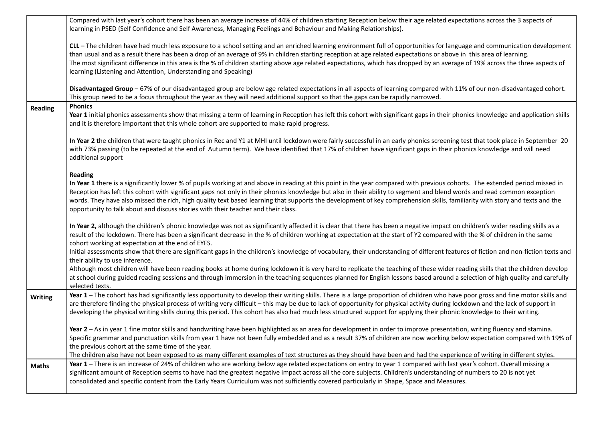|                | Compared with last year's cohort there has been an average increase of 44% of children starting Reception below their age related expectations across the 3 aspects of<br>learning in PSED (Self Confidence and Self Awareness, Managing Feelings and Behaviour and Making Relationships).                                                                                                                                                                                                                                                                                                                                                    |
|----------------|-----------------------------------------------------------------------------------------------------------------------------------------------------------------------------------------------------------------------------------------------------------------------------------------------------------------------------------------------------------------------------------------------------------------------------------------------------------------------------------------------------------------------------------------------------------------------------------------------------------------------------------------------|
|                | CLL - The children have had much less exposure to a school setting and an enriched learning environment full of opportunities for language and communication development<br>than usual and as a result there has been a drop of an average of 9% in children starting reception at age related expectations or above in this area of learning.<br>The most significant difference in this area is the % of children starting above age related expectations, which has dropped by an average of 19% across the three aspects of<br>learning (Listening and Attention, Understanding and Speaking)                                             |
|                | Disadvantaged Group - 67% of our disadvantaged group are below age related expectations in all aspects of learning compared with 11% of our non-disadvantaged cohort.<br>This group need to be a focus throughout the year as they will need additional support so that the gaps can be rapidly narrowed.                                                                                                                                                                                                                                                                                                                                     |
| Reading        | <b>Phonics</b><br>Year 1 initial phonics assessments show that missing a term of learning in Reception has left this cohort with significant gaps in their phonics knowledge and application skills<br>and it is therefore important that this whole cohort are supported to make rapid progress.                                                                                                                                                                                                                                                                                                                                             |
|                | In Year 2 the children that were taught phonics in Rec and Y1 at MHI until lockdown were fairly successful in an early phonics screening test that took place in September 20<br>with 73% passing (to be repeated at the end of Autumn term). We have identified that 17% of children have significant gaps in their phonics knowledge and will need<br>additional support                                                                                                                                                                                                                                                                    |
|                | <b>Reading</b><br>In Year 1 there is a significantly lower % of pupils working at and above in reading at this point in the year compared with previous cohorts. The extended period missed in<br>Reception has left this cohort with significant gaps not only in their phonics knowledge but also in their ability to segment and blend words and read common exception<br>words. They have also missed the rich, high quality text based learning that supports the development of key comprehension skills, familiarity with story and texts and the<br>opportunity to talk about and discuss stories with their teacher and their class. |
|                | In Year 2, although the children's phonic knowledge was not as significantly affected it is clear that there has been a negative impact on children's wider reading skills as a<br>result of the lockdown. There has been a significant decrease in the % of children working at expectation at the start of Y2 compared with the % of children in the same<br>cohort working at expectation at the end of EYFS.                                                                                                                                                                                                                              |
|                | Initial assessments show that there are significant gaps in the children's knowledge of vocabulary, their understanding of different features of fiction and non-fiction texts and<br>their ability to use inference.                                                                                                                                                                                                                                                                                                                                                                                                                         |
|                | Although most children will have been reading books at home during lockdown it is very hard to replicate the teaching of these wider reading skills that the children develop<br>at school during guided reading sessions and through immersion in the teaching sequences planned for English lessons based around a selection of high quality and carefully<br>selected texts.                                                                                                                                                                                                                                                               |
| <b>Writing</b> | Year 1 - The cohort has had significantly less opportunity to develop their writing skills. There is a large proportion of children who have poor gross and fine motor skills and<br>are therefore finding the physical process of writing very difficult – this may be due to lack of opportunity for physical activity during lockdown and the lack of support in<br>developing the physical writing skills during this period. This cohort has also had much less structured support for applying their phonic knowledge to their writing.                                                                                                 |
|                | Year 2 - As in year 1 fine motor skills and handwriting have been highlighted as an area for development in order to improve presentation, writing fluency and stamina.<br>Specific grammar and punctuation skills from year 1 have not been fully embedded and as a result 37% of children are now working below expectation compared with 19% of<br>the previous cohort at the same time of the year.<br>The children also have not been exposed to as many different examples of text structures as they should have been and had the experience of writing in different styles.                                                           |
| <b>Maths</b>   | Year 1 - There is an increase of 24% of children who are working below age related expectations on entry to year 1 compared with last year's cohort. Overall missing a<br>significant amount of Reception seems to have had the greatest negative impact across all the core subjects. Children's understanding of numbers to 20 is not yet<br>consolidated and specific content from the Early Years Curriculum was not sufficiently covered particularly in Shape, Space and Measures.                                                                                                                                                      |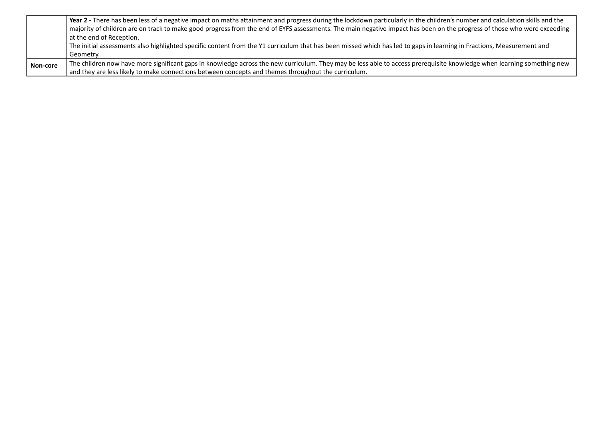|          | Year 2 - There has been less of a negative impact on maths attainment and progress during the lockdown particularly in the children's number and calculation skills and the |
|----------|-----------------------------------------------------------------------------------------------------------------------------------------------------------------------------|
|          | majority of children are on track to make good progress from the end of EYFS assessments. The main negative impact has been on the progress of those who were exceeding     |
|          | at the end of Reception.                                                                                                                                                    |
|          | The initial assessments also highlighted specific content from the Y1 curriculum that has been missed which has led to gaps in learning in Fractions, Measurement and       |
|          | Geometry.                                                                                                                                                                   |
| Non-core | The children now have more significant gaps in knowledge across the new curriculum. They may be less able to access prerequisite knowledge when learning something new      |
|          | and they are less likely to make connections between concepts and themes throughout the curriculum.                                                                         |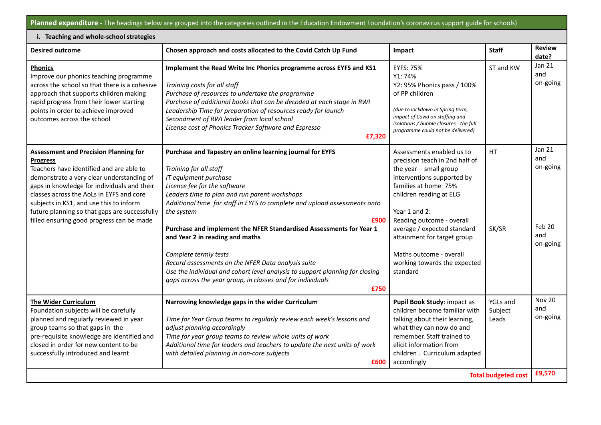**Planned expenditure -** The headings below are grouped into the categories outlined in the Education Endowment Foundation's coronavirus support guide for schools)

| i. Teaching and whole-school strategies                                                                                                                                                                                                                                                                                                                                                      |                                                                                                                                                                                                                                                                                                                                                                                                                                                                                                                                                                                                                                                 |                                                                                                                                                                                                                                                                                                                                                           |                                     |                                                               |  |  |  |  |
|----------------------------------------------------------------------------------------------------------------------------------------------------------------------------------------------------------------------------------------------------------------------------------------------------------------------------------------------------------------------------------------------|-------------------------------------------------------------------------------------------------------------------------------------------------------------------------------------------------------------------------------------------------------------------------------------------------------------------------------------------------------------------------------------------------------------------------------------------------------------------------------------------------------------------------------------------------------------------------------------------------------------------------------------------------|-----------------------------------------------------------------------------------------------------------------------------------------------------------------------------------------------------------------------------------------------------------------------------------------------------------------------------------------------------------|-------------------------------------|---------------------------------------------------------------|--|--|--|--|
| <b>Desired outcome</b>                                                                                                                                                                                                                                                                                                                                                                       | Chosen approach and costs allocated to the Covid Catch Up Fund                                                                                                                                                                                                                                                                                                                                                                                                                                                                                                                                                                                  | Impact                                                                                                                                                                                                                                                                                                                                                    | <b>Staff</b>                        | <b>Review</b><br>date?                                        |  |  |  |  |
| <b>Phonics</b><br>Improve our phonics teaching programme<br>across the school so that there is a cohesive<br>approach that supports children making<br>rapid progress from their lower starting<br>points in order to achieve improved<br>outcomes across the school                                                                                                                         | Implement the Read Write Inc Phonics programme across EYFS and KS1<br>Training costs for all staff<br>Purchase of resources to undertake the programme<br>Purchase of additional books that can be decoded at each stage in RWI<br>Leadership Time for preparation of resources ready for launch<br>Secondment of RWI leader from local school<br>License cost of Phonics Tracker Software and Espresso<br>£7,320                                                                                                                                                                                                                               | <b>EYFS: 75%</b><br>Y1:74%<br>Y2: 95% Phonics pass / 100%<br>of PP children<br>(due to lockdown in Spring term,<br>impact of Covid on staffing and<br>isolations / bubble closures - the full<br>programme could not be delivered)                                                                                                                        | ST and KW                           | Jan 21<br>and<br>on-going                                     |  |  |  |  |
| <b>Assessment and Precision Planning for</b><br><b>Progress</b><br>Teachers have identified and are able to<br>demonstrate a very clear understanding of<br>gaps in knowledge for individuals and their<br>classes across the AoLs in EYFS and core<br>subjects in KS1, and use this to inform<br>future planning so that gaps are successfully<br>filled ensuring good progress can be made | Purchase and Tapestry an online learning journal for EYFS<br>Training for all staff<br>IT equipment purchase<br>Licence fee for the software<br>Leaders time to plan and run parent workshops<br>Additional time for staff in EYFS to complete and upload assessments onto<br>the system<br>£900<br>Purchase and implement the NFER Standardised Assessments for Year 1<br>and Year 2 in reading and maths<br>Complete termly tests<br>Record assessments on the NFER Data analysis suite<br>Use the individual and cohort level analysis to support planning for closing<br>gaps across the year group, in classes and for individuals<br>£750 | Assessments enabled us to<br>precision teach in 2nd half of<br>the year - small group<br>interventions supported by<br>families at home 75%<br>children reading at ELG<br>Year 1 and 2:<br>Reading outcome - overall<br>average / expected standard<br>attainment for target group<br>Maths outcome - overall<br>working towards the expected<br>standard | <b>HT</b><br>SK/SR                  | <b>Jan 21</b><br>and<br>on-going<br>Feb 20<br>and<br>on-going |  |  |  |  |
| <b>The Wider Curriculum</b><br>Foundation subjects will be carefully<br>planned and regularly reviewed in year<br>group teams so that gaps in the<br>pre-requisite knowledge are identified and<br>closed in order for new content to be<br>successfully introduced and learnt                                                                                                               | Narrowing knowledge gaps in the wider Curriculum<br>Time for Year Group teams to regularly review each week's lessons and<br>adjust planning accordingly<br>Time for year group teams to review whole units of work<br>Additional time for leaders and teachers to update the next units of work<br>with detailed planning in non-core subjects<br>£600                                                                                                                                                                                                                                                                                         | Pupil Book Study: impact as<br>children become familiar with<br>talking about their learning,<br>what they can now do and<br>remember. Staff trained to<br>elicit information from<br>children. Curriculum adapted<br>accordingly                                                                                                                         | <b>YGLs and</b><br>Subject<br>Leads | <b>Nov 20</b><br>and<br>on-going                              |  |  |  |  |
|                                                                                                                                                                                                                                                                                                                                                                                              |                                                                                                                                                                                                                                                                                                                                                                                                                                                                                                                                                                                                                                                 |                                                                                                                                                                                                                                                                                                                                                           | <b>Total budgeted cost</b>          | £9,570                                                        |  |  |  |  |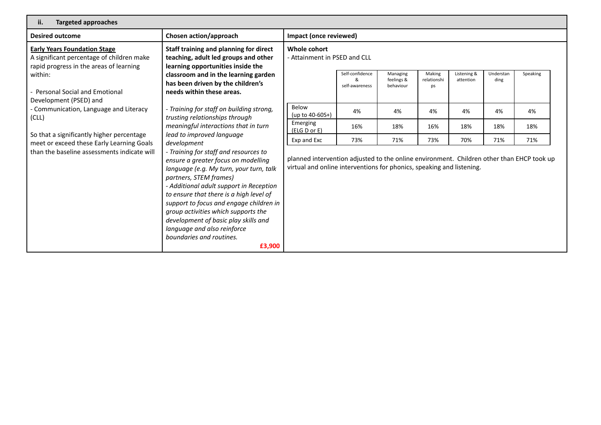| ii.<br><b>Targeted approaches</b>                                                                                                                       |                                                                                                                                                                                                                                                                                                                                                                                                                                        |                                                                                                                                                                    |                                   |                                     |                             |                          |                   |          |
|---------------------------------------------------------------------------------------------------------------------------------------------------------|----------------------------------------------------------------------------------------------------------------------------------------------------------------------------------------------------------------------------------------------------------------------------------------------------------------------------------------------------------------------------------------------------------------------------------------|--------------------------------------------------------------------------------------------------------------------------------------------------------------------|-----------------------------------|-------------------------------------|-----------------------------|--------------------------|-------------------|----------|
| <b>Desired outcome</b>                                                                                                                                  | Impact (once reviewed)                                                                                                                                                                                                                                                                                                                                                                                                                 |                                                                                                                                                                    |                                   |                                     |                             |                          |                   |          |
| <b>Early Years Foundation Stage</b><br>A significant percentage of children make<br>rapid progress in the areas of learning                             | Staff training and planning for direct<br>teaching, adult led groups and other<br>learning opportunities inside the<br>classroom and in the learning garden<br>has been driven by the children's<br>needs within these areas.                                                                                                                                                                                                          | Whole cohort<br>- Attainment in PSED and CLL                                                                                                                       |                                   |                                     |                             |                          |                   |          |
| within:<br><b>Personal Social and Emotional</b>                                                                                                         |                                                                                                                                                                                                                                                                                                                                                                                                                                        |                                                                                                                                                                    | Self-confidence<br>self-awareness | Managing<br>feelings &<br>behaviour | Making<br>relationshi<br>ps | Listening &<br>attention | Understan<br>ding | Speaking |
| Development (PSED) and<br>- Training for staff on building strong,<br>- Communication, Language and Literacy<br>trusting relationships through<br>(CLL) | Below<br>(up to $40-60S+$ )                                                                                                                                                                                                                                                                                                                                                                                                            | 4%                                                                                                                                                                 | 4%                                | 4%                                  | 4%                          | 4%                       | 4%                |          |
|                                                                                                                                                         | meaningful interactions that in turn                                                                                                                                                                                                                                                                                                                                                                                                   | Emerging<br>(ELG D or E)                                                                                                                                           | 16%                               | 18%                                 | 16%                         | 18%                      | 18%               | 18%      |
| So that a significantly higher percentage<br>lead to improved language<br>meet or exceed these Early Learning Goals                                     | development                                                                                                                                                                                                                                                                                                                                                                                                                            | Exp and Exc                                                                                                                                                        | 73%                               | 71%                                 | 73%                         | 70%                      | 71%               | 71%      |
| than the baseline assessments indicate will                                                                                                             | - Training for staff and resources to<br>ensure a greater focus on modelling<br>language (e.g. My turn, your turn, talk<br>partners, STEM frames)<br>- Additional adult support in Reception<br>to ensure that there is a high level of<br>support to focus and engage children in<br>group activities which supports the<br>development of basic play skills and<br>language and also reinforce<br>boundaries and routines.<br>£3,900 | planned intervention adjusted to the online environment. Children other than EHCP took up<br>virtual and online interventions for phonics, speaking and listening. |                                   |                                     |                             |                          |                   |          |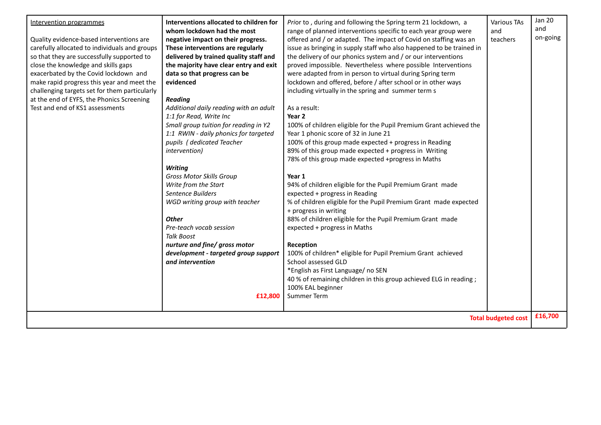| Intervention programmes<br>Quality evidence-based interventions are<br>carefully allocated to individuals and groups<br>so that they are successfully supported to | Interventions allocated to children for<br>whom lockdown had the most<br>negative impact on their progress.<br>These interventions are regularly<br>delivered by trained quality staff and | Prior to, during and following the Spring term 21 lockdown, a<br>range of planned interventions specific to each year group were<br>offered and / or adapted. The impact of Covid on staffing was an<br>issue as bringing in supply staff who also happened to be trained in<br>the delivery of our phonics system and / or our interventions | Various TAs<br>and<br>teachers | <b>Jan 20</b><br>and<br>on-going |  |
|--------------------------------------------------------------------------------------------------------------------------------------------------------------------|--------------------------------------------------------------------------------------------------------------------------------------------------------------------------------------------|-----------------------------------------------------------------------------------------------------------------------------------------------------------------------------------------------------------------------------------------------------------------------------------------------------------------------------------------------|--------------------------------|----------------------------------|--|
| close the knowledge and skills gaps                                                                                                                                | the majority have clear entry and exit                                                                                                                                                     | proved impossible. Nevertheless where possible Interventions                                                                                                                                                                                                                                                                                  |                                |                                  |  |
| exacerbated by the Covid lockdown and                                                                                                                              | data so that progress can be                                                                                                                                                               | were adapted from in person to virtual during Spring term                                                                                                                                                                                                                                                                                     |                                |                                  |  |
| make rapid progress this year and meet the                                                                                                                         | evidenced                                                                                                                                                                                  | lockdown and offered, before / after school or in other ways                                                                                                                                                                                                                                                                                  |                                |                                  |  |
| challenging targets set for them particularly                                                                                                                      |                                                                                                                                                                                            | including virtually in the spring and summer term s                                                                                                                                                                                                                                                                                           |                                |                                  |  |
| at the end of EYFS, the Phonics Screening                                                                                                                          | <b>Reading</b>                                                                                                                                                                             |                                                                                                                                                                                                                                                                                                                                               |                                |                                  |  |
| Test and end of KS1 assessments                                                                                                                                    | Additional daily reading with an adult                                                                                                                                                     | As a result:                                                                                                                                                                                                                                                                                                                                  |                                |                                  |  |
|                                                                                                                                                                    | 1:1 for Read, Write Inc                                                                                                                                                                    | Year 2                                                                                                                                                                                                                                                                                                                                        |                                |                                  |  |
|                                                                                                                                                                    | Small group tuition for reading in Y2                                                                                                                                                      | 100% of children eligible for the Pupil Premium Grant achieved the                                                                                                                                                                                                                                                                            |                                |                                  |  |
|                                                                                                                                                                    | 1:1 RWIN - daily phonics for targeted                                                                                                                                                      | Year 1 phonic score of 32 in June 21                                                                                                                                                                                                                                                                                                          |                                |                                  |  |
|                                                                                                                                                                    | pupils (dedicated Teacher                                                                                                                                                                  | 100% of this group made expected + progress in Reading                                                                                                                                                                                                                                                                                        |                                |                                  |  |
|                                                                                                                                                                    | intervention)                                                                                                                                                                              | 89% of this group made expected + progress in Writing                                                                                                                                                                                                                                                                                         |                                |                                  |  |
|                                                                                                                                                                    |                                                                                                                                                                                            | 78% of this group made expected +progress in Maths                                                                                                                                                                                                                                                                                            |                                |                                  |  |
|                                                                                                                                                                    | <b>Writing</b>                                                                                                                                                                             |                                                                                                                                                                                                                                                                                                                                               |                                |                                  |  |
|                                                                                                                                                                    | <b>Gross Motor Skills Group</b>                                                                                                                                                            | Year 1                                                                                                                                                                                                                                                                                                                                        |                                |                                  |  |
|                                                                                                                                                                    | Write from the Start                                                                                                                                                                       | 94% of children eligible for the Pupil Premium Grant made                                                                                                                                                                                                                                                                                     |                                |                                  |  |
|                                                                                                                                                                    | Sentence Builders                                                                                                                                                                          | expected + progress in Reading                                                                                                                                                                                                                                                                                                                |                                |                                  |  |
|                                                                                                                                                                    | WGD writing group with teacher                                                                                                                                                             | % of children eligible for the Pupil Premium Grant made expected<br>+ progress in writing                                                                                                                                                                                                                                                     |                                |                                  |  |
|                                                                                                                                                                    | <b>Other</b>                                                                                                                                                                               | 88% of children eligible for the Pupil Premium Grant made                                                                                                                                                                                                                                                                                     |                                |                                  |  |
|                                                                                                                                                                    | Pre-teach vocab session                                                                                                                                                                    | expected + progress in Maths                                                                                                                                                                                                                                                                                                                  |                                |                                  |  |
|                                                                                                                                                                    | <b>Talk Boost</b>                                                                                                                                                                          |                                                                                                                                                                                                                                                                                                                                               |                                |                                  |  |
|                                                                                                                                                                    | nurture and fine/ gross motor                                                                                                                                                              | Reception                                                                                                                                                                                                                                                                                                                                     |                                |                                  |  |
|                                                                                                                                                                    | development - targeted group support                                                                                                                                                       | 100% of children* eligible for Pupil Premium Grant achieved                                                                                                                                                                                                                                                                                   |                                |                                  |  |
|                                                                                                                                                                    | and intervention                                                                                                                                                                           | School assessed GLD                                                                                                                                                                                                                                                                                                                           |                                |                                  |  |
|                                                                                                                                                                    |                                                                                                                                                                                            | *English as First Language/ no SEN                                                                                                                                                                                                                                                                                                            |                                |                                  |  |
|                                                                                                                                                                    |                                                                                                                                                                                            | 40 % of remaining children in this group achieved ELG in reading;                                                                                                                                                                                                                                                                             |                                |                                  |  |
|                                                                                                                                                                    |                                                                                                                                                                                            | 100% EAL beginner                                                                                                                                                                                                                                                                                                                             |                                |                                  |  |
|                                                                                                                                                                    | £12,800                                                                                                                                                                                    | Summer Term                                                                                                                                                                                                                                                                                                                                   |                                |                                  |  |
|                                                                                                                                                                    |                                                                                                                                                                                            |                                                                                                                                                                                                                                                                                                                                               |                                |                                  |  |
|                                                                                                                                                                    |                                                                                                                                                                                            |                                                                                                                                                                                                                                                                                                                                               | <b>Total budgeted cost</b>     | £16,700                          |  |
|                                                                                                                                                                    |                                                                                                                                                                                            |                                                                                                                                                                                                                                                                                                                                               |                                |                                  |  |